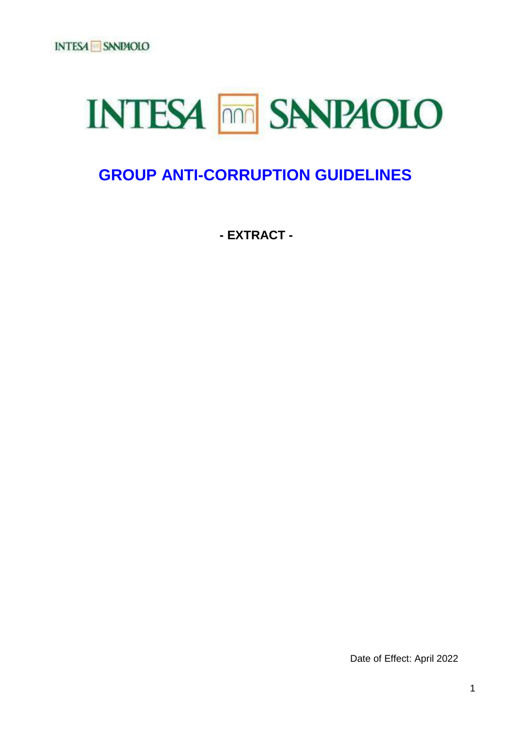# **INTESA <b>FRACE SANDAOLO**

# **GROUP ANTI-CORRUPTION GUIDELINES**

**- EXTRACT -** 

Date of Effect: April 2022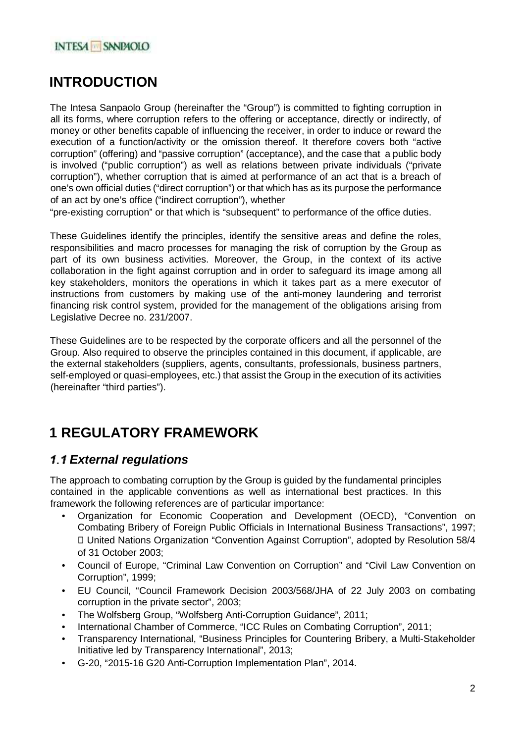# **INTRODUCTION**

The Intesa Sanpaolo Group (hereinafter the "Group") is committed to fighting corruption in all its forms, where corruption refers to the offering or acceptance, directly or indirectly, of money or other benefits capable of influencing the receiver, in order to induce or reward the execution of a function/activity or the omission thereof. It therefore covers both "active corruption" (offering) and "passive corruption" (acceptance), and the case that a public body is involved ("public corruption") as well as relations between private individuals ("private corruption"), whether corruption that is aimed at performance of an act that is a breach of one's own official duties ("direct corruption") or that which has as its purpose the performance of an act by one's office ("indirect corruption"), whether

"pre-existing corruption" or that which is "subsequent" to performance of the office duties.

These Guidelines identify the principles, identify the sensitive areas and define the roles, responsibilities and macro processes for managing the risk of corruption by the Group as part of its own business activities. Moreover, the Group, in the context of its active collaboration in the fight against corruption and in order to safeguard its image among all key stakeholders, monitors the operations in which it takes part as a mere executor of instructions from customers by making use of the anti-money laundering and terrorist financing risk control system, provided for the management of the obligations arising from Legislative Decree no. 231/2007.

These Guidelines are to be respected by the corporate officers and all the personnel of the Group. Also required to observe the principles contained in this document, if applicable, are the external stakeholders (suppliers, agents, consultants, professionals, business partners, self-employed or quasi-employees, etc.) that assist the Group in the execution of its activities (hereinafter "third parties").

# **1 REGULATORY FRAMEWORK**

# **1.1 External regulations**

The approach to combating corruption by the Group is guided by the fundamental principles contained in the applicable conventions as well as international best practices. In this framework the following references are of particular importance:

- Organization for Economic Cooperation and Development (OECD), "Convention on Combating Bribery of Foreign Public Officials in International Business Transactions", 1997; United Nations Organization "Convention Against Corruption", adopted by Resolution 58/4 of 31 October 2003;
- Council of Europe, "Criminal Law Convention on Corruption" and "Civil Law Convention on Corruption", 1999;
- EU Council, "Council Framework Decision 2003/568/JHA of 22 July 2003 on combating corruption in the private sector", 2003;
- The Wolfsberg Group, "Wolfsberg Anti-Corruption Guidance", 2011;
- International Chamber of Commerce, "ICC Rules on Combating Corruption", 2011;
- Transparency International, "Business Principles for Countering Bribery, a Multi-Stakeholder Initiative led by Transparency International", 2013;
- G-20, "2015-16 G20 Anti-Corruption Implementation Plan", 2014.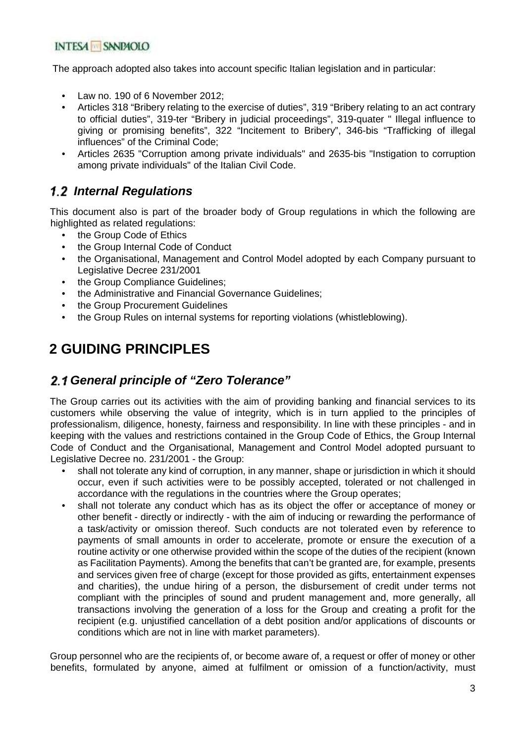The approach adopted also takes into account specific Italian legislation and in particular:

- Law no. 190 of 6 November 2012;
- Articles 318 "Bribery relating to the exercise of duties", 319 "Bribery relating to an act contrary to official duties", 319-ter "Bribery in judicial proceedings", 319-quater " Illegal influence to giving or promising benefits", 322 "Incitement to Bribery", 346-bis "Trafficking of illegal influences" of the Criminal Code;
- Articles 2635 "Corruption among private individuals" and 2635-bis "Instigation to corruption among private individuals" of the Italian Civil Code.

# **Internal Regulations**

This document also is part of the broader body of Group regulations in which the following are highlighted as related regulations:

- the Group Code of Ethics
- the Group Internal Code of Conduct
- the Organisational, Management and Control Model adopted by each Company pursuant to Legislative Decree 231/2001
- the Group Compliance Guidelines:
- the Administrative and Financial Governance Guidelines;
- the Group Procurement Guidelines
- the Group Rules on internal systems for reporting violations (whistleblowing).

# **2 GUIDING PRINCIPLES**

## **General principle of "Zero Tolerance"**

The Group carries out its activities with the aim of providing banking and financial services to its customers while observing the value of integrity, which is in turn applied to the principles of professionalism, diligence, honesty, fairness and responsibility. In line with these principles - and in keeping with the values and restrictions contained in the Group Code of Ethics, the Group Internal Code of Conduct and the Organisational, Management and Control Model adopted pursuant to Legislative Decree no. 231/2001 - the Group:

- shall not tolerate any kind of corruption, in any manner, shape or jurisdiction in which it should occur, even if such activities were to be possibly accepted, tolerated or not challenged in accordance with the regulations in the countries where the Group operates;
- shall not tolerate any conduct which has as its object the offer or acceptance of money or other benefit - directly or indirectly - with the aim of inducing or rewarding the performance of a task/activity or omission thereof. Such conducts are not tolerated even by reference to payments of small amounts in order to accelerate, promote or ensure the execution of a routine activity or one otherwise provided within the scope of the duties of the recipient (known as Facilitation Payments). Among the benefits that can't be granted are, for example, presents and services given free of charge (except for those provided as gifts, entertainment expenses and charities), the undue hiring of a person, the disbursement of credit under terms not compliant with the principles of sound and prudent management and, more generally, all transactions involving the generation of a loss for the Group and creating a profit for the recipient (e.g. unjustified cancellation of a debt position and/or applications of discounts or conditions which are not in line with market parameters).

Group personnel who are the recipients of, or become aware of, a request or offer of money or other benefits, formulated by anyone, aimed at fulfilment or omission of a function/activity, must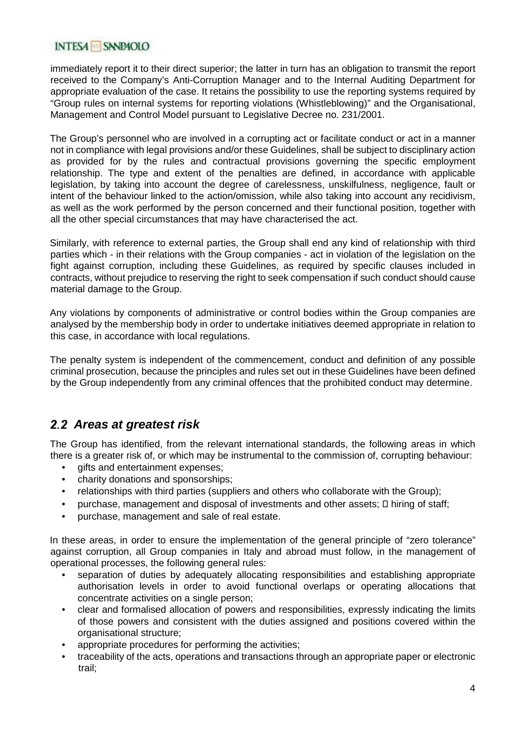#### **INTESA SNRAOLO**

immediately report it to their direct superior; the latter in turn has an obligation to transmit the report received to the Company's Anti-Corruption Manager and to the Internal Auditing Department for appropriate evaluation of the case. It retains the possibility to use the reporting systems required by "Group rules on internal systems for reporting violations (Whistleblowing)" and the Organisational, Management and Control Model pursuant to Legislative Decree no. 231/2001.

The Group's personnel who are involved in a corrupting act or facilitate conduct or act in a manner not in compliance with legal provisions and/or these Guidelines, shall be subject to disciplinary action as provided for by the rules and contractual provisions governing the specific employment relationship. The type and extent of the penalties are defined, in accordance with applicable legislation, by taking into account the degree of carelessness, unskilfulness, negligence, fault or intent of the behaviour linked to the action/omission, while also taking into account any recidivism, as well as the work performed by the person concerned and their functional position, together with all the other special circumstances that may have characterised the act.

Similarly, with reference to external parties, the Group shall end any kind of relationship with third parties which - in their relations with the Group companies - act in violation of the legislation on the fight against corruption, including these Guidelines, as required by specific clauses included in contracts, without prejudice to reserving the right to seek compensation if such conduct should cause material damage to the Group.

Any violations by components of administrative or control bodies within the Group companies are analysed by the membership body in order to undertake initiatives deemed appropriate in relation to this case, in accordance with local regulations.

The penalty system is independent of the commencement, conduct and definition of any possible criminal prosecution, because the principles and rules set out in these Guidelines have been defined by the Group independently from any criminal offences that the prohibited conduct may determine.

# **Areas at greatest risk**

The Group has identified, from the relevant international standards, the following areas in which there is a greater risk of, or which may be instrumental to the commission of, corrupting behaviour:

- gifts and entertainment expenses;
- charity donations and sponsorships;
- relationships with third parties (suppliers and others who collaborate with the Group);
- purchase, management and disposal of investments and other assets; hiring of staff;
- purchase, management and sale of real estate.

In these areas, in order to ensure the implementation of the general principle of "zero tolerance" against corruption, all Group companies in Italy and abroad must follow, in the management of operational processes, the following general rules:

- separation of duties by adequately allocating responsibilities and establishing appropriate authorisation levels in order to avoid functional overlaps or operating allocations that concentrate activities on a single person;
- clear and formalised allocation of powers and responsibilities, expressly indicating the limits of those powers and consistent with the duties assigned and positions covered within the organisational structure;
- appropriate procedures for performing the activities:
- traceability of the acts, operations and transactions through an appropriate paper or electronic trail;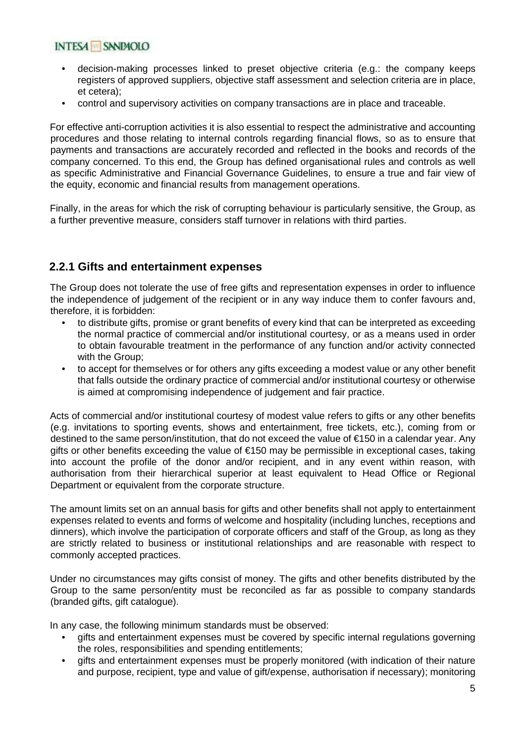- decision-making processes linked to preset objective criteria (e.g.: the company keeps registers of approved suppliers, objective staff assessment and selection criteria are in place, et cetera);
- control and supervisory activities on company transactions are in place and traceable.

For effective anti-corruption activities it is also essential to respect the administrative and accounting procedures and those relating to internal controls regarding financial flows, so as to ensure that payments and transactions are accurately recorded and reflected in the books and records of the company concerned. To this end, the Group has defined organisational rules and controls as well as specific Administrative and Financial Governance Guidelines, to ensure a true and fair view of the equity, economic and financial results from management operations.

Finally, in the areas for which the risk of corrupting behaviour is particularly sensitive, the Group, as a further preventive measure, considers staff turnover in relations with third parties.

## **2.2.1 Gifts and entertainment expenses**

The Group does not tolerate the use of free gifts and representation expenses in order to influence the independence of judgement of the recipient or in any way induce them to confer favours and, therefore, it is forbidden:

- to distribute gifts, promise or grant benefits of every kind that can be interpreted as exceeding the normal practice of commercial and/or institutional courtesy, or as a means used in order to obtain favourable treatment in the performance of any function and/or activity connected with the Group;
- to accept for themselves or for others any gifts exceeding a modest value or any other benefit that falls outside the ordinary practice of commercial and/or institutional courtesy or otherwise is aimed at compromising independence of judgement and fair practice.

Acts of commercial and/or institutional courtesy of modest value refers to gifts or any other benefits (e.g. invitations to sporting events, shows and entertainment, free tickets, etc.), coming from or destined to the same person/institution, that do not exceed the value of €150 in a calendar year. Any gifts or other benefits exceeding the value of €150 may be permissible in exceptional cases, taking into account the profile of the donor and/or recipient, and in any event within reason, with authorisation from their hierarchical superior at least equivalent to Head Office or Regional Department or equivalent from the corporate structure.

The amount limits set on an annual basis for gifts and other benefits shall not apply to entertainment expenses related to events and forms of welcome and hospitality (including lunches, receptions and dinners), which involve the participation of corporate officers and staff of the Group, as long as they are strictly related to business or institutional relationships and are reasonable with respect to commonly accepted practices.

Under no circumstances may gifts consist of money. The gifts and other benefits distributed by the Group to the same person/entity must be reconciled as far as possible to company standards (branded gifts, gift catalogue).

In any case, the following minimum standards must be observed:

- gifts and entertainment expenses must be covered by specific internal regulations governing the roles, responsibilities and spending entitlements;
- gifts and entertainment expenses must be properly monitored (with indication of their nature and purpose, recipient, type and value of gift/expense, authorisation if necessary); monitoring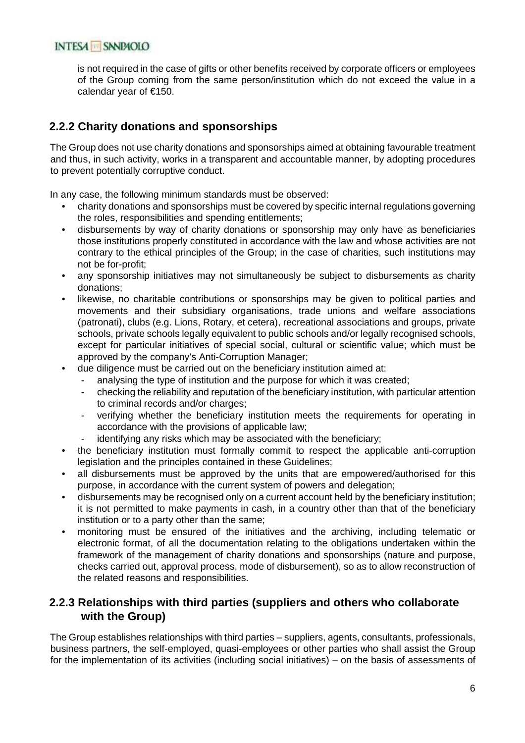is not required in the case of gifts or other benefits received by corporate officers or employees of the Group coming from the same person/institution which do not exceed the value in a calendar year of €150.

## **2.2.2 Charity donations and sponsorships**

The Group does not use charity donations and sponsorships aimed at obtaining favourable treatment and thus, in such activity, works in a transparent and accountable manner, by adopting procedures to prevent potentially corruptive conduct.

In any case, the following minimum standards must be observed:

- charity donations and sponsorships must be covered by specific internal regulations governing the roles, responsibilities and spending entitlements;
- disbursements by way of charity donations or sponsorship may only have as beneficiaries those institutions properly constituted in accordance with the law and whose activities are not contrary to the ethical principles of the Group; in the case of charities, such institutions may not be for-profit;
- any sponsorship initiatives may not simultaneously be subject to disbursements as charity donations;
- likewise, no charitable contributions or sponsorships may be given to political parties and movements and their subsidiary organisations, trade unions and welfare associations (patronati), clubs (e.g. Lions, Rotary, et cetera), recreational associations and groups, private schools, private schools legally equivalent to public schools and/or legally recognised schools, except for particular initiatives of special social, cultural or scientific value; which must be approved by the company's Anti-Corruption Manager;
- due diligence must be carried out on the beneficiary institution aimed at:
	- analysing the type of institution and the purpose for which it was created;
	- checking the reliability and reputation of the beneficiary institution, with particular attention to criminal records and/or charges;
	- verifying whether the beneficiary institution meets the requirements for operating in accordance with the provisions of applicable law;
	- identifying any risks which may be associated with the beneficiary;
- the beneficiary institution must formally commit to respect the applicable anti-corruption legislation and the principles contained in these Guidelines;
- all disbursements must be approved by the units that are empowered/authorised for this purpose, in accordance with the current system of powers and delegation;
- disbursements may be recognised only on a current account held by the beneficiary institution; it is not permitted to make payments in cash, in a country other than that of the beneficiary institution or to a party other than the same;
- monitoring must be ensured of the initiatives and the archiving, including telematic or electronic format, of all the documentation relating to the obligations undertaken within the framework of the management of charity donations and sponsorships (nature and purpose, checks carried out, approval process, mode of disbursement), so as to allow reconstruction of the related reasons and responsibilities.

#### **2.2.3 Relationships with third parties (suppliers and others who collaborate with the Group)**

The Group establishes relationships with third parties – suppliers, agents, consultants, professionals, business partners, the self-employed, quasi-employees or other parties who shall assist the Group for the implementation of its activities (including social initiatives) – on the basis of assessments of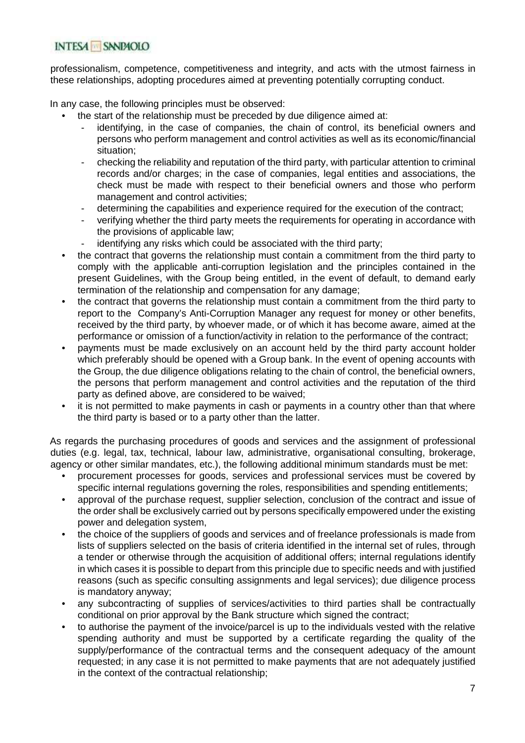professionalism, competence, competitiveness and integrity, and acts with the utmost fairness in these relationships, adopting procedures aimed at preventing potentially corrupting conduct.

In any case, the following principles must be observed:

- the start of the relationship must be preceded by due diligence aimed at:
	- identifying, in the case of companies, the chain of control, its beneficial owners and persons who perform management and control activities as well as its economic/financial situation;
	- checking the reliability and reputation of the third party, with particular attention to criminal records and/or charges; in the case of companies, legal entities and associations, the check must be made with respect to their beneficial owners and those who perform management and control activities;
	- determining the capabilities and experience required for the execution of the contract;
	- verifying whether the third party meets the requirements for operating in accordance with the provisions of applicable law;
	- identifying any risks which could be associated with the third party;
- the contract that governs the relationship must contain a commitment from the third party to comply with the applicable anti-corruption legislation and the principles contained in the present Guidelines, with the Group being entitled, in the event of default, to demand early termination of the relationship and compensation for any damage;
- the contract that governs the relationship must contain a commitment from the third party to report to the Company's Anti-Corruption Manager any request for money or other benefits, received by the third party, by whoever made, or of which it has become aware, aimed at the performance or omission of a function/activity in relation to the performance of the contract;
- payments must be made exclusively on an account held by the third party account holder which preferably should be opened with a Group bank. In the event of opening accounts with the Group, the due diligence obligations relating to the chain of control, the beneficial owners, the persons that perform management and control activities and the reputation of the third party as defined above, are considered to be waived;
- it is not permitted to make payments in cash or payments in a country other than that where the third party is based or to a party other than the latter.

As regards the purchasing procedures of goods and services and the assignment of professional duties (e.g. legal, tax, technical, labour law, administrative, organisational consulting, brokerage, agency or other similar mandates, etc.), the following additional minimum standards must be met:

- procurement processes for goods, services and professional services must be covered by specific internal regulations governing the roles, responsibilities and spending entitlements;
- approval of the purchase request, supplier selection, conclusion of the contract and issue of the order shall be exclusively carried out by persons specifically empowered under the existing power and delegation system,
- the choice of the suppliers of goods and services and of freelance professionals is made from lists of suppliers selected on the basis of criteria identified in the internal set of rules, through a tender or otherwise through the acquisition of additional offers; internal regulations identify in which cases it is possible to depart from this principle due to specific needs and with justified reasons (such as specific consulting assignments and legal services); due diligence process is mandatory anyway;
- any subcontracting of supplies of services/activities to third parties shall be contractually conditional on prior approval by the Bank structure which signed the contract;
- to authorise the payment of the invoice/parcel is up to the individuals vested with the relative spending authority and must be supported by a certificate regarding the quality of the supply/performance of the contractual terms and the consequent adequacy of the amount requested; in any case it is not permitted to make payments that are not adequately justified in the context of the contractual relationship;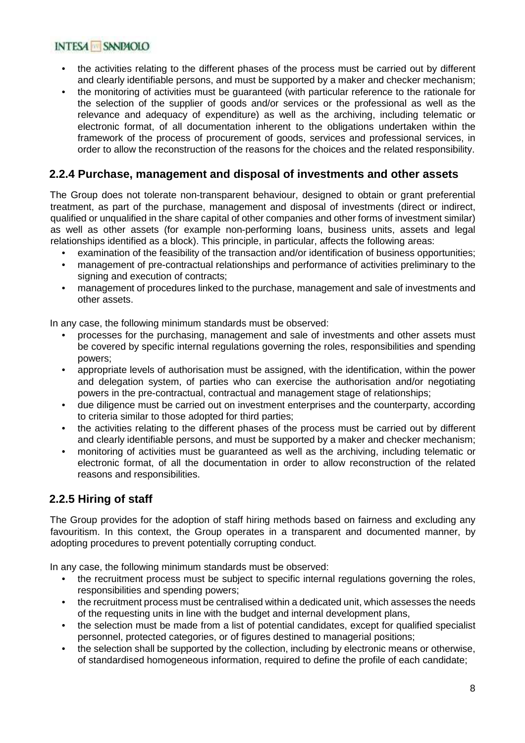#### INTESA SANDAOLO

- the activities relating to the different phases of the process must be carried out by different and clearly identifiable persons, and must be supported by a maker and checker mechanism;
- the monitoring of activities must be guaranteed (with particular reference to the rationale for the selection of the supplier of goods and/or services or the professional as well as the relevance and adequacy of expenditure) as well as the archiving, including telematic or electronic format, of all documentation inherent to the obligations undertaken within the framework of the process of procurement of goods, services and professional services, in order to allow the reconstruction of the reasons for the choices and the related responsibility.

### **2.2.4 Purchase, management and disposal of investments and other assets**

The Group does not tolerate non-transparent behaviour, designed to obtain or grant preferential treatment, as part of the purchase, management and disposal of investments (direct or indirect, qualified or unqualified in the share capital of other companies and other forms of investment similar) as well as other assets (for example non-performing loans, business units, assets and legal relationships identified as a block). This principle, in particular, affects the following areas:

- examination of the feasibility of the transaction and/or identification of business opportunities;
- management of pre-contractual relationships and performance of activities preliminary to the signing and execution of contracts:
- management of procedures linked to the purchase, management and sale of investments and other assets.

In any case, the following minimum standards must be observed:

- processes for the purchasing, management and sale of investments and other assets must be covered by specific internal regulations governing the roles, responsibilities and spending powers;
- appropriate levels of authorisation must be assigned, with the identification, within the power and delegation system, of parties who can exercise the authorisation and/or negotiating powers in the pre-contractual, contractual and management stage of relationships;
- due diligence must be carried out on investment enterprises and the counterparty, according to criteria similar to those adopted for third parties;
- the activities relating to the different phases of the process must be carried out by different and clearly identifiable persons, and must be supported by a maker and checker mechanism;
- monitoring of activities must be guaranteed as well as the archiving, including telematic or electronic format, of all the documentation in order to allow reconstruction of the related reasons and responsibilities.

# **2.2.5 Hiring of staff**

The Group provides for the adoption of staff hiring methods based on fairness and excluding any favouritism. In this context, the Group operates in a transparent and documented manner, by adopting procedures to prevent potentially corrupting conduct.

In any case, the following minimum standards must be observed:

- the recruitment process must be subject to specific internal regulations governing the roles, responsibilities and spending powers;
- the recruitment process must be centralised within a dedicated unit, which assesses the needs of the requesting units in line with the budget and internal development plans,
- the selection must be made from a list of potential candidates, except for qualified specialist personnel, protected categories, or of figures destined to managerial positions;
- the selection shall be supported by the collection, including by electronic means or otherwise, of standardised homogeneous information, required to define the profile of each candidate;